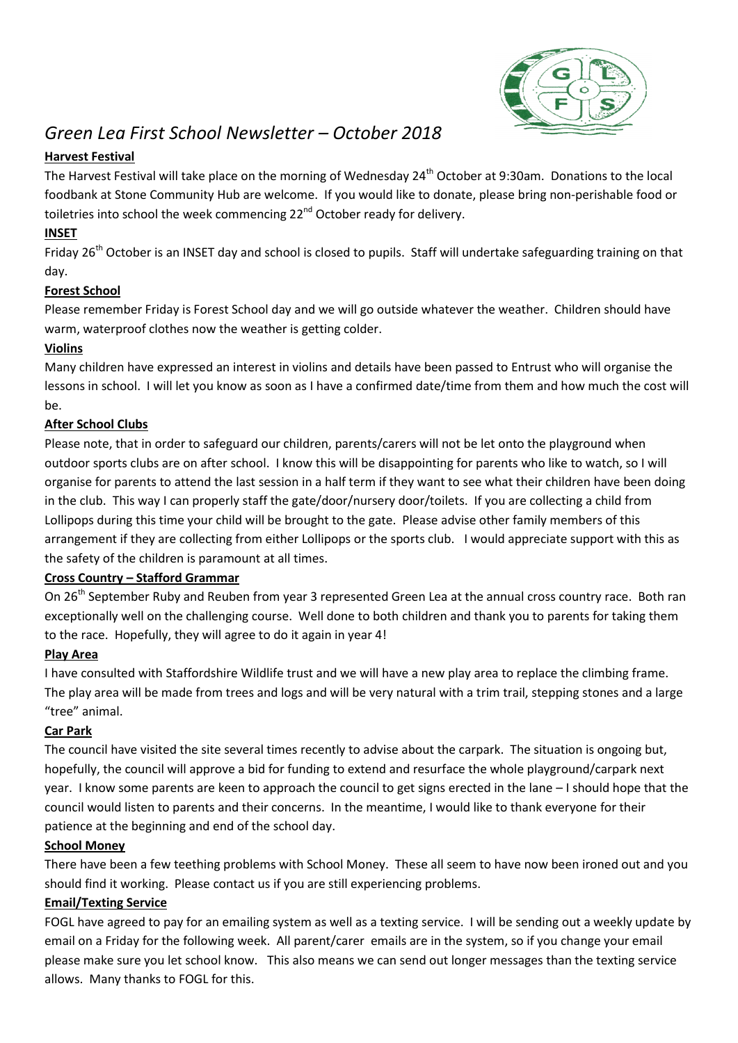

# *Green Lea First School Newsletter – October 2018*

# **Harvest Festival**

The Harvest Festival will take place on the morning of Wednesday 24<sup>th</sup> October at 9:30am. Donations to the local foodbank at Stone Community Hub are welcome. If you would like to donate, please bring non-perishable food or toiletries into school the week commencing 22<sup>nd</sup> October ready for delivery.

# **INSET**

Friday 26<sup>th</sup> October is an INSET day and school is closed to pupils. Staff will undertake safeguarding training on that day.

# **Forest School**

Please remember Friday is Forest School day and we will go outside whatever the weather. Children should have warm, waterproof clothes now the weather is getting colder.

## **Violins**

Many children have expressed an interest in violins and details have been passed to Entrust who will organise the lessons in school. I will let you know as soon as I have a confirmed date/time from them and how much the cost will be.

## **After School Clubs**

Please note, that in order to safeguard our children, parents/carers will not be let onto the playground when outdoor sports clubs are on after school. I know this will be disappointing for parents who like to watch, so I will organise for parents to attend the last session in a half term if they want to see what their children have been doing in the club. This way I can properly staff the gate/door/nursery door/toilets. If you are collecting a child from Lollipops during this time your child will be brought to the gate. Please advise other family members of this arrangement if they are collecting from either Lollipops or the sports club. I would appreciate support with this as the safety of the children is paramount at all times.

#### **Cross Country – Stafford Grammar**

On 26<sup>th</sup> September Ruby and Reuben from year 3 represented Green Lea at the annual cross country race. Both ran exceptionally well on the challenging course. Well done to both children and thank you to parents for taking them to the race. Hopefully, they will agree to do it again in year 4!

# **Play Area**

I have consulted with Staffordshire Wildlife trust and we will have a new play area to replace the climbing frame. The play area will be made from trees and logs and will be very natural with a trim trail, stepping stones and a large "tree" animal.

# **Car Park**

The council have visited the site several times recently to advise about the carpark. The situation is ongoing but, hopefully, the council will approve a bid for funding to extend and resurface the whole playground/carpark next year. I know some parents are keen to approach the council to get signs erected in the lane – I should hope that the council would listen to parents and their concerns. In the meantime, I would like to thank everyone for their patience at the beginning and end of the school day.

#### **School Money**

There have been a few teething problems with School Money. These all seem to have now been ironed out and you should find it working. Please contact us if you are still experiencing problems.

#### **Email/Texting Service**

FOGL have agreed to pay for an emailing system as well as a texting service. I will be sending out a weekly update by email on a Friday for the following week. All parent/carer emails are in the system, so if you change your email please make sure you let school know. This also means we can send out longer messages than the texting service allows. Many thanks to FOGL for this.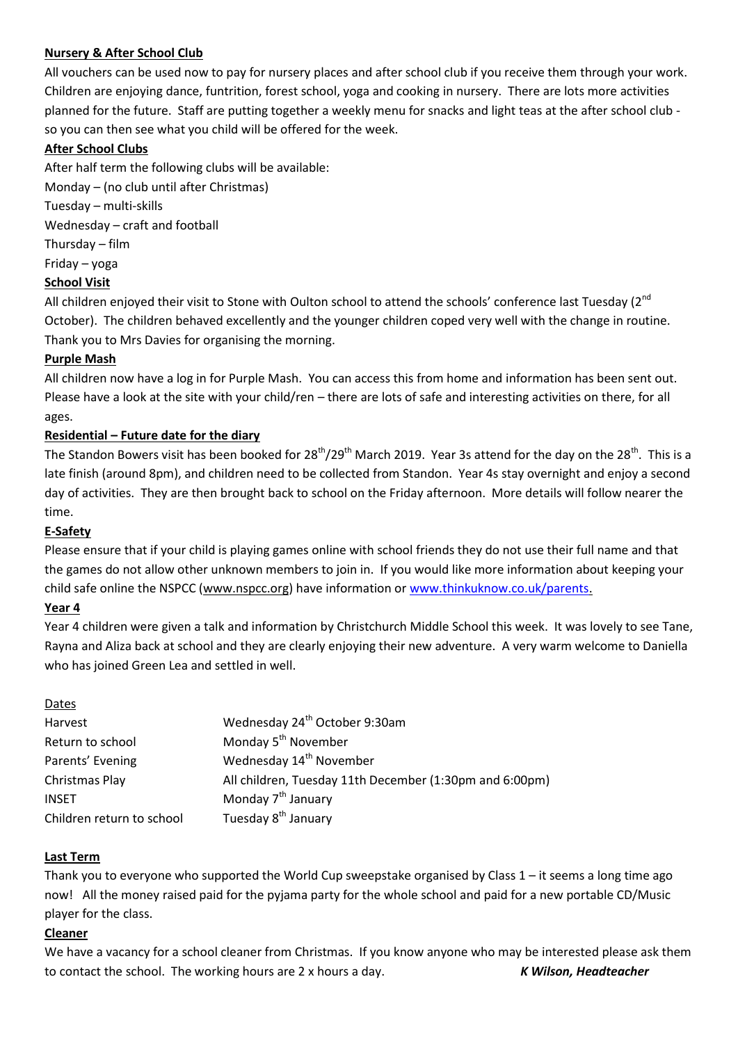## **Nursery & After School Club**

All vouchers can be used now to pay for nursery places and after school club if you receive them through your work. Children are enjoying dance, funtrition, forest school, yoga and cooking in nursery. There are lots more activities planned for the future. Staff are putting together a weekly menu for snacks and light teas at the after school club so you can then see what you child will be offered for the week.

## **After School Clubs**

After half term the following clubs will be available:

Monday – (no club until after Christmas)

Tuesday – multi-skills

Wednesday – craft and football

Thursday – film

Friday – yoga

## **School Visit**

All children enjoyed their visit to Stone with Oulton school to attend the schools' conference last Tuesday ( $2<sup>nd</sup>$ October). The children behaved excellently and the younger children coped very well with the change in routine. Thank you to Mrs Davies for organising the morning.

## **Purple Mash**

All children now have a log in for Purple Mash. You can access this from home and information has been sent out. Please have a look at the site with your child/ren – there are lots of safe and interesting activities on there, for all ages.

## **Residential – Future date for the diary**

The Standon Bowers visit has been booked for  $28<sup>th</sup>/29<sup>th</sup>$  March 2019. Year 3s attend for the day on the 28<sup>th</sup>. This is a late finish (around 8pm), and children need to be collected from Standon. Year 4s stay overnight and enjoy a second day of activities. They are then brought back to school on the Friday afternoon. More details will follow nearer the time.

# **E-Safety**

Please ensure that if your child is playing games online with school friends they do not use their full name and that the games do not allow other unknown members to join in. If you would like more information about keeping your child safe online the NSPCC [\(www.nspcc.org\)](http://www.nspcc.org/) have information o[r www.thinkuknow.co.uk/parents.](http://www.thinkuknow.co.uk/parents)

#### **Year 4**

Year 4 children were given a talk and information by Christchurch Middle School this week. It was lovely to see Tane, Rayna and Aliza back at school and they are clearly enjoying their new adventure. A very warm welcome to Daniella who has joined Green Lea and settled in well.

| Dates                     |                                                         |
|---------------------------|---------------------------------------------------------|
| Harvest                   | Wednesday 24 <sup>th</sup> October 9:30am               |
| Return to school          | Monday 5 <sup>th</sup> November                         |
| Parents' Evening          | Wednesday 14 <sup>th</sup> November                     |
| Christmas Play            | All children, Tuesday 11th December (1:30pm and 6:00pm) |
| INSET                     | Monday 7 <sup>th</sup> January                          |
| Children return to school | Tuesday 8 <sup>th</sup> January                         |

#### **Last Term**

Thank you to everyone who supported the World Cup sweepstake organised by Class  $1 -$  it seems a long time ago now! All the money raised paid for the pyjama party for the whole school and paid for a new portable CD/Music player for the class.

#### **Cleaner**

We have a vacancy for a school cleaner from Christmas. If you know anyone who may be interested please ask them to contact the school. The working hours are 2 x hours a day. *K Wilson, Headteacher*